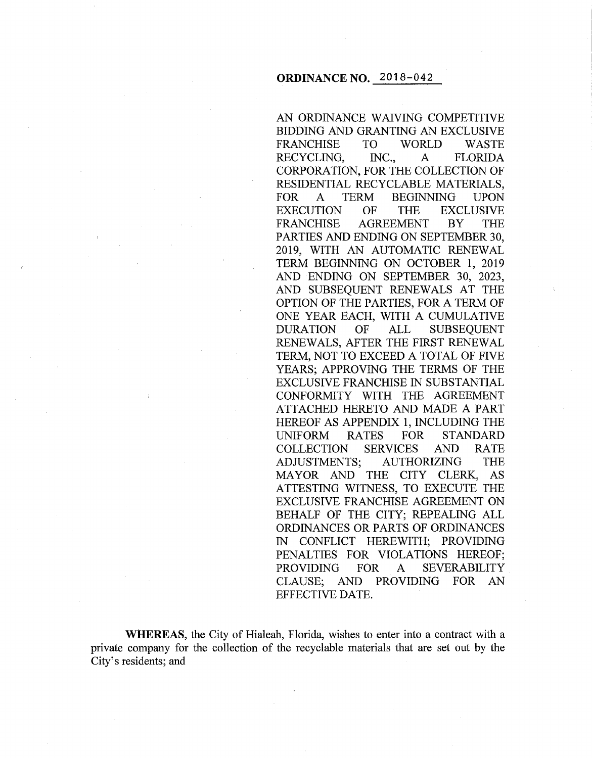AN ORDINANCE WAIVING COMPETITIVE BIDDING AND GRANTING AN EXCLUSIVE FRANCHISE TO WORLD WASTE RECYCLING, INC., A FLORIDA CORPORATION, FOR THE COLLECTION OF RESIDENTIAL RECYCLABLE MATERIALS, FOR A TERM BEGINNING UPON EXECUTION OF THE EXCLUSIVE FRANCHISE AGREEMENT BY THE PARTIES AND ENDING ON SEPTEMBER 30, 2019, WITH AN AUTOMATIC RENEWAL TERM BEGINNING ON OCTOBER 1, 2019 AND ENDING ON SEPTEMBER 30, 2023, AND SUBSEQUENT RENEWALS AT THE OPTION OF THE PARTIES, FOR A TERM OF ONE YEAR EACH, WITH A CUMULATIVE DURATION OF ALL SUBSEQUENT RENEWALS, AFTER THE FIRST RENEWAL TERM, NOT TO EXCEED A TOTAL OF FIVE YEARS; APPROVING THE TERMS OF THE EXCLUSIVE FRANCHISE IN SUBSTANTIAL CONFORMITY WITH THE AGREEMENT ATTACHED HERETO AND MADE A PART HEREOF AS APPENDIX 1, INCLUDING THE UNIFORM RATES FOR STANDARD COLLECTION SERVICES AND RATE ADJUSTMENTS; AUTHORIZING THE MAYOR AND THE CITY CLERK, AS ATTESTING WITNESS, TO EXECUTE THE EXCLUSIVE FRANCHISE AGREEMENT ON BEHALF OF THE CITY; REPEALING ALL ORDINANCES OR PARTS OF ORDINANCES IN CONFLICT HEREWITH; PROVIDING PENALTIES FOR VIOLATIONS HEREOF; PROVIDING FOR A SEVERABILITY CLAUSE; AND PROVIDING FOR AN EFFECTIVE DATE.

**WHEREAS,** the City of Hialeah, Florida, wishes to enter into a contract with a private company for the collection of the recyclable materials that are set out by the City's residents; and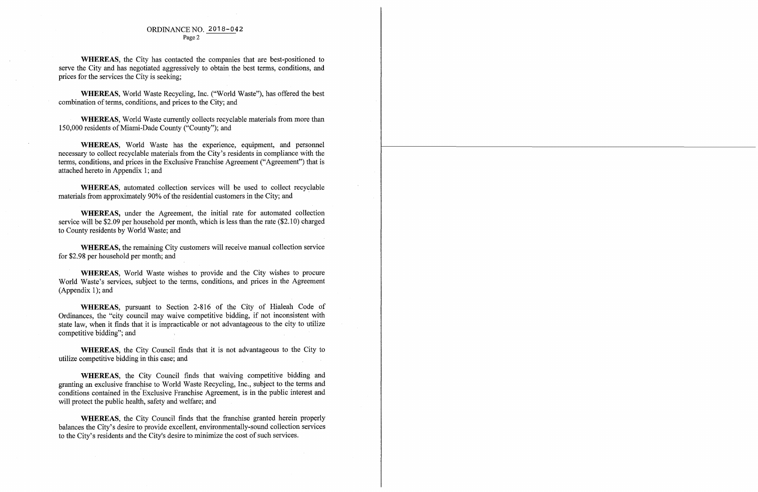#### ORDINANCE NO. 2018-042 Page 2

**WHEREAS,** the City has contacted the companies that are best-positioned to serve the City and has negotiated aggressively to obtain the best terms, conditions, and prices for the services the City is seeking;

**WHEREAS,** World Waste Recycling, Inc. ("World Waste''), has offered the best combination of terms, conditions, and prices to the City; and

**WHEREAS,** automated .collection services will be used to collect recyclable materials from approximately 90% of the residential customers in the City; and

**WHEREAS,** World Waste currently collects recyclable materials from more than 150,000 residents of Miami-Dade County ("County"); and

**WHEREAS,** World Waste has the experience, equipment, and personnel necessary to collect recyclable materials from the City's residents in compliance with the terms, conditions, and prices in the Exclusive Franchise Agreement ("Agreement") that is attached hereto in Appendix 1; and

**WHEREAS,** under the Agreement, the initial rate for automated collection service will be \$2.09 per household per month, which is less than the rate (\$2.10) charged to County residents by World Waste; and

WHEREAS, the City Council finds that waiving competitive bidding and granting an exclusive franchise to World Waste Recycling, Inc., subject to the terms and conditions contained in the' Exclusive Franchise Agreement, is in the public interest and will protect the public health, safety and welfare; and

**WHEREAS,** the remaining City customers will receive manual collection service for \$2.98 per household per month; and

**WHEREAS,** World Waste wishes to provide and the City wishes to procure World Waste's services, subject to the terms, conditions, and prices in the Agreement (Appendix 1); and

**WHEREAS,** pursuant to Section 2-816 of the City of Hialeah Code of Ordinances, the "city council may waive competitive bidding, if not inconsistent with state law, when it finds that it is impracticable or not advantageous to the city to utilize competitive bidding"; and

**WHEREAS,** the City Council finds that it is not advantageous to the City to utilize competitive bidding in this case; and

**WHEREAS,** the City Council finds that the franchise granted herein properly balances the City's desire to provide excellent, environmentally-sound collection services to the City's residents and the City's desire to minimize the cost of such services.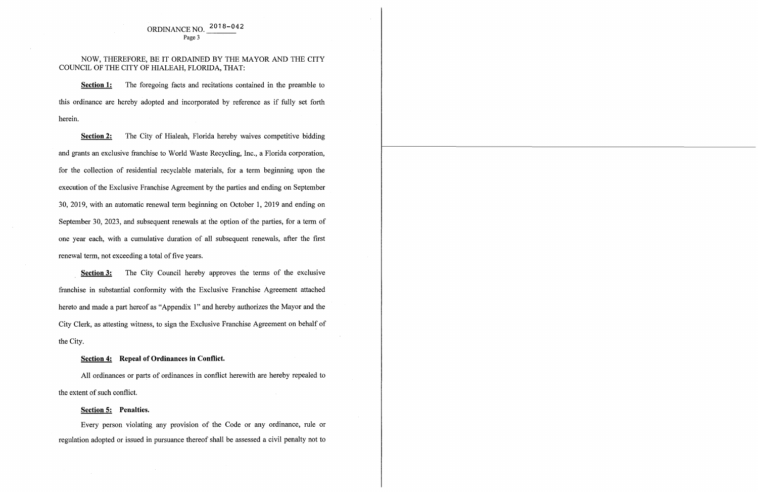# ORDINANCE NO. 2018-042 Page 3

# NOW, THEREFORE, BE IT ORDAINED BY THE MAYOR AND THE CITY COUNCIL OF THE CITY OF HIALEAH, FLORIDA, THAT:

**Section 1:** The foregoing facts and recitations contained in the preamble to this ordinance are hereby adopted and incorporated by reference as if fully set forth herein.

**Section 2:** The City of Hialeah, Florida hereby waives competitive bidding and grants an exclusive franchise to World Waste Recycling, Inc., a Florida corporation, for the collection of residential recyclable materials, for a term beginning upon the execution of the Exclusive Franchise Agreement by the parties and ending on September 30, 2019, with an automatic renewal term beginning on October 1, 2019 and ending on September 30, 2023, and subsequent renewals at the option of the parties, for a term of one year each, with a cumulative duration of all subsequent renewals, after the first renewal term, not exceeding a total of five years.

**Section 3:** The City Council hereby approves the terms of the exclusive franchise in substantial conformity with the Exclusive Franchise Agreement attached hereto and made a part hereof as "Appendix 1" and hereby authorizes the Mayor and the City Clerk, as attesting witness, to sign the Exclusive Franchise Agreement on behalf of the City.

## **Section 4: Repeal of Ordinances in Conflict.**

All ordinances or parts of ordinances in conflict herewith are hereby repealed to the extent of such conflict.

### **Section 5: Penalties.**

Every person violating any provision of the Code or any ordinance, rule or regulation adopted or issued in pursuance thereof shall be assessed a civil penalty not to